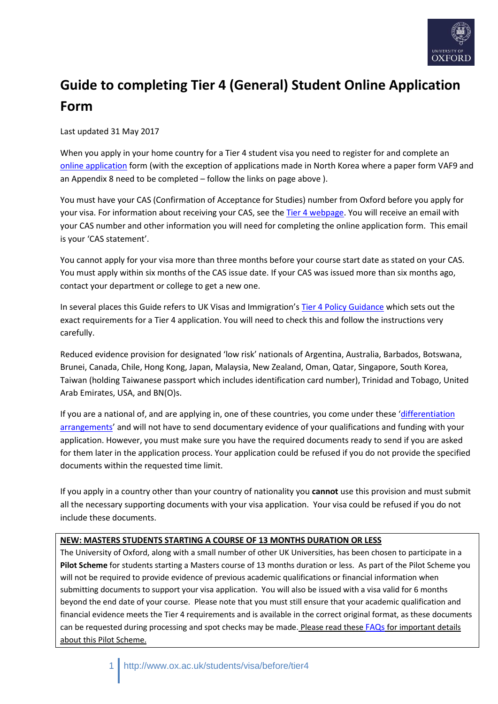

# **Guide to completing Tier 4 (General) Student Online Application Form**

Last updated 31 May 2017

When you apply in your home country for a Tier 4 student visa you need to register for and complete an [online application](https://www.gov.uk/apply-uk-visa) form (with the exception of applications made in North Korea where a paper form VAF9 and an Appendix 8 need to be completed – follow the links on page above ).

You must have your CAS (Confirmation of Acceptance for Studies) number from Oxford before you apply for your visa. For information about receiving your CAS, see th[e Tier 4 webpage.](http://www.ox.ac.uk/students/international_students/visabefore/tier4studentvisa/) You will receive an email with your CAS number and other information you will need for completing the online application form. This email is your 'CAS statement'.

You cannot apply for your visa more than three months before your course start date as stated on your CAS. You must apply within six months of the CAS issue date. If your CAS was issued more than six months ago, contact your department or college to get a new one.

In several places this Guide refers to UK Visas and Immigration's [Tier 4 Policy Guidance](https://www.gov.uk/government/publications/guidance-on-application-for-uk-visa-as-tier-4-student) which sets out the exact requirements for a Tier 4 application. You will need to check this and follow the instructions very carefully.

Reduced evidence provision for designated 'low risk' nationals of Argentina, Australia, Barbados, Botswana, Brunei, Canada, Chile, Hong Kong, Japan, Malaysia, New Zealand, Oman, Qatar, Singapore, South Korea, Taiwan (holding Taiwanese passport which includes identification card number), Trinidad and Tobago, United Arab Emirates, USA, and BN(O)s.

If you are a national of, and are applying in, one of these countries, you come under these '[differentiation](https://www.gov.uk/government/publications/immigration-rules-appendix-h)  [arrangements](https://www.gov.uk/government/publications/immigration-rules-appendix-h)' and will not have to send documentary evidence of your qualifications and funding with your application. However, you must make sure you have the required documents ready to send if you are asked for them later in the application process. Your application could be refused if you do not provide the specified documents within the requested time limit.

If you apply in a country other than your country of nationality you **cannot** use this provision and must submit all the necessary supporting documents with your visa application. Your visa could be refused if you do not include these documents.

## **NEW: MASTERS STUDENTS STARTING A COURSE OF 13 MONTHS DURATION OR LESS**

The University of Oxford, along with a small number of other UK Universities, has been chosen to participate in a **Pilot Scheme** for students starting a Masters course of 13 months duration or less. As part of the Pilot Scheme you will not be required to provide evidence of previous academic qualifications or financial information when submitting documents to support your visa application. You will also be issued with a visa valid for 6 months beyond the end date of your course. Please note that you must still ensure that your academic qualification and financial evidence meets the Tier 4 requirements and is available in the correct original format, as these documents can be requested during processing and spot checks may be made. Please read these [FAQs](Tier%204%20visa%20pilot%20scheme%20frequently%20asked%20questions.pdf) for important details about this Pilot Scheme.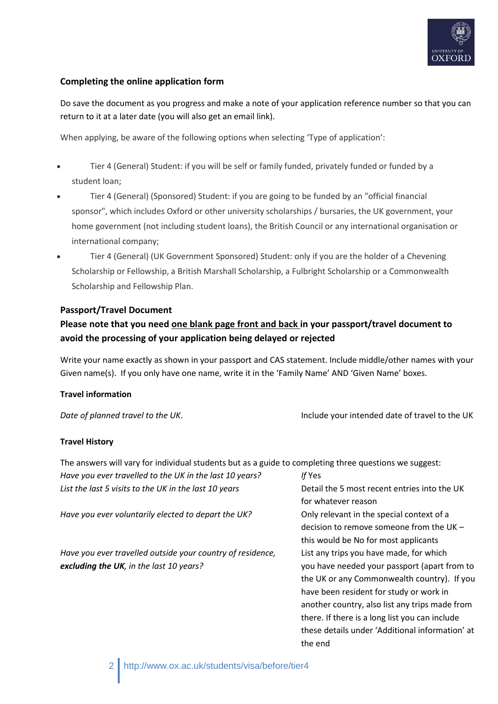

## **Completing the online application form**

Do save the document as you progress and make a note of your application reference number so that you can return to it at a later date (you will also get an email link).

When applying, be aware of the following options when selecting 'Type of application':

- Tier 4 (General) Student: if you will be self or family funded, privately funded or funded by a student loan;
- Tier 4 (General) (Sponsored) Student: if you are going to be funded by an "official financial sponsor", which includes Oxford or other university scholarships / bursaries, the UK government, your home government (not including student loans), the British Council or any international organisation or international company;
- Tier 4 (General) (UK Government Sponsored) Student: only if you are the holder of a Chevening Scholarship or Fellowship, a British Marshall Scholarship, a Fulbright Scholarship or a Commonwealth Scholarship and Fellowship Plan.

#### **Passport/Travel Document**

# **Please note that you need one blank page front and back in your passport/travel document to avoid the processing of your application being delayed or rejected**

Write your name exactly as shown in your passport and CAS statement. Include middle/other names with your Given name(s). If you only have one name, write it in the 'Family Name' AND 'Given Name' boxes.

#### **Travel information**

*Date of planned travel to the UK*. Include your intended date of travel to the UK

#### **Travel History**

| The answers will vary for individual students but as a guide to completing three questions we suggest: |                                                 |
|--------------------------------------------------------------------------------------------------------|-------------------------------------------------|
| Have you ever travelled to the UK in the last 10 years?                                                | If Yes                                          |
| List the last 5 visits to the UK in the last 10 years                                                  | Detail the 5 most recent entries into the UK    |
|                                                                                                        | for whatever reason                             |
| Have you ever voluntarily elected to depart the UK?                                                    | Only relevant in the special context of a       |
|                                                                                                        | decision to remove someone from the UK $-$      |
|                                                                                                        | this would be No for most applicants            |
| Have you ever travelled outside your country of residence,                                             | List any trips you have made, for which         |
| excluding the UK, in the last 10 years?                                                                | you have needed your passport (apart from to    |
|                                                                                                        | the UK or any Commonwealth country). If you     |
|                                                                                                        | have been resident for study or work in         |
|                                                                                                        | another country, also list any trips made from  |
|                                                                                                        | there. If there is a long list you can include  |
|                                                                                                        | these details under 'Additional information' at |
|                                                                                                        | the end                                         |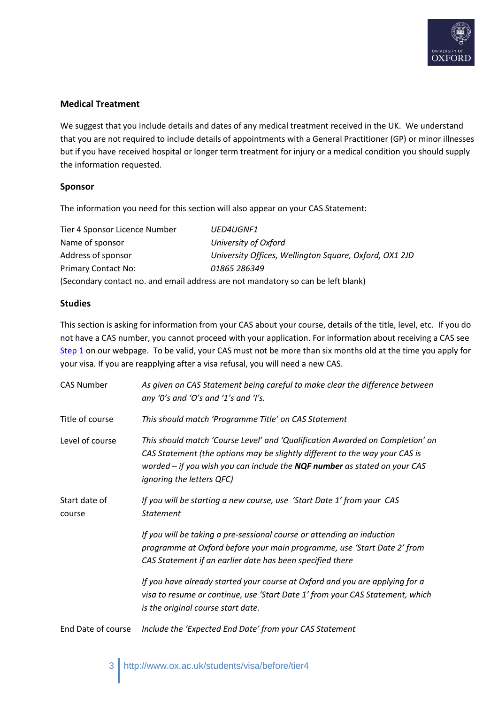

### **Medical Treatment**

We suggest that you include details and dates of any medical treatment received in the UK. We understand that you are not required to include details of appointments with a General Practitioner (GP) or minor illnesses but if you have received hospital or longer term treatment for injury or a medical condition you should supply the information requested.

#### **Sponsor**

The information you need for this section will also appear on your CAS Statement:

| Tier 4 Sponsor Licence Number | UED4UGNF1                                                                        |
|-------------------------------|----------------------------------------------------------------------------------|
| Name of sponsor               | University of Oxford                                                             |
| Address of sponsor            | University Offices, Wellington Square, Oxford, OX1 2JD                           |
| <b>Primary Contact No:</b>    | 01865 286349                                                                     |
|                               | (Secondary contact no. and email address are not mandatory so can be left blank) |

#### **Studies**

This section is asking for information from your CAS about your course, details of the title, level, etc. If you do not have a CAS number, you cannot proceed with your application. For information about receiving a CAS see [Step 1](http://www.ox.ac.uk/students/international_students/visabefore/tier4studentvisa/) on our webpage. To be valid, your CAS must not be more than six months old at the time you apply for your visa. If you are reapplying after a visa refusal, you will need a new CAS.

| <b>CAS Number</b>       | As given on CAS Statement being careful to make clear the difference between<br>any '0's and 'O's and '1's and 'I's.                                                                                                                                                       |
|-------------------------|----------------------------------------------------------------------------------------------------------------------------------------------------------------------------------------------------------------------------------------------------------------------------|
| Title of course         | This should match 'Programme Title' on CAS Statement                                                                                                                                                                                                                       |
| Level of course         | This should match 'Course Level' and 'Qualification Awarded on Completion' on<br>CAS Statement (the options may be slightly different to the way your CAS is<br>worded $-$ if you wish you can include the $NQF$ number as stated on your CAS<br>ignoring the letters QFC) |
| Start date of<br>course | If you will be starting a new course, use 'Start Date 1' from your CAS<br><b>Statement</b>                                                                                                                                                                                 |
|                         | If you will be taking a pre-sessional course or attending an induction<br>programme at Oxford before your main programme, use 'Start Date 2' from<br>CAS Statement if an earlier date has been specified there                                                             |
|                         | If you have already started your course at Oxford and you are applying for a<br>visa to resume or continue, use 'Start Date 1' from your CAS Statement, which<br>is the original course start date.                                                                        |
| End Date of course      | Include the 'Expected End Date' from your CAS Statement                                                                                                                                                                                                                    |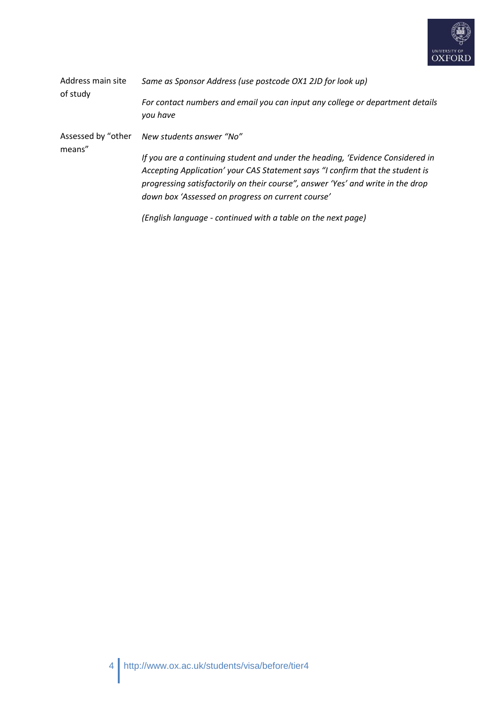

| Address main site<br>of study | Same as Sponsor Address (use postcode OX1 2JD for look up)                                                                                                                                                                                                                                              |  |  |
|-------------------------------|---------------------------------------------------------------------------------------------------------------------------------------------------------------------------------------------------------------------------------------------------------------------------------------------------------|--|--|
|                               | For contact numbers and email you can input any college or department details<br>you have                                                                                                                                                                                                               |  |  |
| Assessed by "other<br>means"  | New students answer "No"                                                                                                                                                                                                                                                                                |  |  |
|                               | If you are a continuing student and under the heading, 'Evidence Considered in<br>Accepting Application' your CAS Statement says "I confirm that the student is<br>progressing satisfactorily on their course", answer 'Yes' and write in the drop<br>down box 'Assessed on progress on current course' |  |  |
|                               | (English language - continued with a table on the next page)                                                                                                                                                                                                                                            |  |  |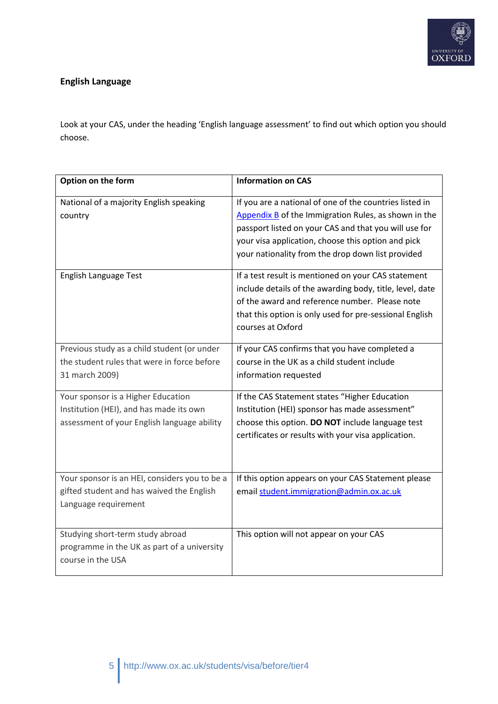

# **English Language**

Look at your CAS, under the heading 'English language assessment' to find out which option you should choose.

| Option on the form                                                                                                           | <b>Information on CAS</b>                                                                                                                                                                                                                                                           |
|------------------------------------------------------------------------------------------------------------------------------|-------------------------------------------------------------------------------------------------------------------------------------------------------------------------------------------------------------------------------------------------------------------------------------|
| National of a majority English speaking<br>country                                                                           | If you are a national of one of the countries listed in<br>Appendix B of the Immigration Rules, as shown in the<br>passport listed on your CAS and that you will use for<br>your visa application, choose this option and pick<br>your nationality from the drop down list provided |
| <b>English Language Test</b>                                                                                                 | If a test result is mentioned on your CAS statement<br>include details of the awarding body, title, level, date<br>of the award and reference number. Please note<br>that this option is only used for pre-sessional English<br>courses at Oxford                                   |
| Previous study as a child student (or under<br>the student rules that were in force before<br>31 march 2009)                 | If your CAS confirms that you have completed a<br>course in the UK as a child student include<br>information requested                                                                                                                                                              |
| Your sponsor is a Higher Education<br>Institution (HEI), and has made its own<br>assessment of your English language ability | If the CAS Statement states "Higher Education<br>Institution (HEI) sponsor has made assessment"<br>choose this option. DO NOT include language test<br>certificates or results with your visa application.                                                                          |
| Your sponsor is an HEI, considers you to be a<br>gifted student and has waived the English<br>Language requirement           | If this option appears on your CAS Statement please<br>email student.immigration@admin.ox.ac.uk                                                                                                                                                                                     |
| Studying short-term study abroad<br>programme in the UK as part of a university<br>course in the USA                         | This option will not appear on your CAS                                                                                                                                                                                                                                             |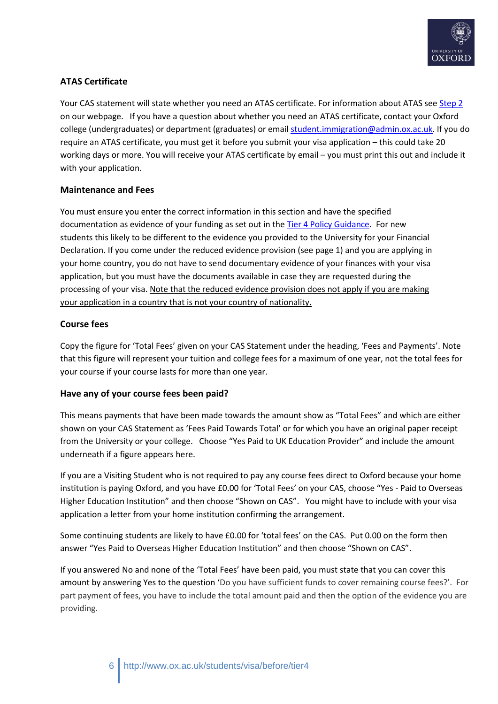

# **ATAS Certificate**

Your CAS statement will state whether you need an ATAS certificate. For information about ATAS see [Step 2](http://www.ox.ac.uk/students/international_students/visabefore/tier4studentvisa/) on our webpage. If you have a question about whether you need an ATAS certificate, contact your Oxford college (undergraduates) or department (graduates) or emai[l student.immigration@admin.ox.ac.uk.](mailto:student.immigration@admin.ox.ac.uk) If you do require an ATAS certificate, you must get it before you submit your visa application – this could take 20 working days or more. You will receive your ATAS certificate by email – you must print this out and include it with your application.

## **Maintenance and Fees**

You must ensure you enter the correct information in this section and have the specified documentation as evidence of your funding as set out in the [Tier 4 Policy Guidance.](https://www.gov.uk/government/publications/guidance-on-application-for-uk-visa-as-tier-4-student) For new students this likely to be different to the evidence you provided to the University for your Financial Declaration. If you come under the reduced evidence provision (see page 1) and you are applying in your home country, you do not have to send documentary evidence of your finances with your visa application, but you must have the documents available in case they are requested during the processing of your visa. Note that the reduced evidence provision does not apply if you are making your application in a country that is not your country of nationality.

## **Course fees**

Copy the figure for 'Total Fees' given on your CAS Statement under the heading, 'Fees and Payments'. Note that this figure will represent your tuition and college fees for a maximum of one year, not the total fees for your course if your course lasts for more than one year.

## **Have any of your course fees been paid?**

This means payments that have been made towards the amount show as "Total Fees" and which are either shown on your CAS Statement as 'Fees Paid Towards Total' or for which you have an original paper receipt from the University or your college. Choose "Yes Paid to UK Education Provider" and include the amount underneath if a figure appears here.

If you are a Visiting Student who is not required to pay any course fees direct to Oxford because your home institution is paying Oxford, and you have £0.00 for 'Total Fees' on your CAS, choose "Yes - Paid to Overseas Higher Education Institution" and then choose "Shown on CAS". You might have to include with your visa application a letter from your home institution confirming the arrangement.

Some continuing students are likely to have £0.00 for 'total fees' on the CAS. Put 0.00 on the form then answer "Yes Paid to Overseas Higher Education Institution" and then choose "Shown on CAS".

If you answered No and none of the 'Total Fees' have been paid, you must state that you can cover this amount by answering Yes to the question 'Do you have sufficient funds to cover remaining course fees?'. For part payment of fees, you have to include the total amount paid and then the option of the evidence you are providing.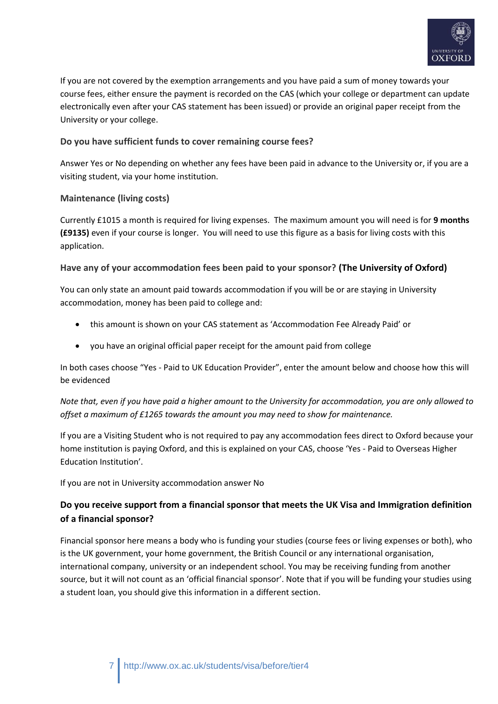

If you are not covered by the exemption arrangements and you have paid a sum of money towards your course fees, either ensure the payment is recorded on the CAS (which your college or department can update electronically even after your CAS statement has been issued) or provide an original paper receipt from the University or your college.

### **Do you have sufficient funds to cover remaining course fees?**

Answer Yes or No depending on whether any fees have been paid in advance to the University or, if you are a visiting student, via your home institution.

## **Maintenance (living costs)**

Currently £1015 a month is required for living expenses. The maximum amount you will need is for **9 months (£9135)** even if your course is longer. You will need to use this figure as a basis for living costs with this application.

## **Have any of your accommodation fees been paid to your sponsor? (The University of Oxford)**

You can only state an amount paid towards accommodation if you will be or are staying in University accommodation, money has been paid to college and:

- this amount is shown on your CAS statement as 'Accommodation Fee Already Paid' or
- you have an original official paper receipt for the amount paid from college

In both cases choose "Yes - Paid to UK Education Provider", enter the amount below and choose how this will be evidenced

*Note that, even if you have paid a higher amount to the University for accommodation, you are only allowed to offset a maximum of £1265 towards the amount you may need to show for maintenance.*

If you are a Visiting Student who is not required to pay any accommodation fees direct to Oxford because your home institution is paying Oxford, and this is explained on your CAS, choose 'Yes - Paid to Overseas Higher Education Institution'.

If you are not in University accommodation answer No

# **Do you receive support from a financial sponsor that meets the UK Visa and Immigration definition of a financial sponsor?**

Financial sponsor here means a body who is funding your studies (course fees or living expenses or both), who is the UK government, your home government, the British Council or any international organisation, international company, university or an independent school. You may be receiving funding from another source, but it will not count as an 'official financial sponsor'. Note that if you will be funding your studies using a student loan, you should give this information in a different section.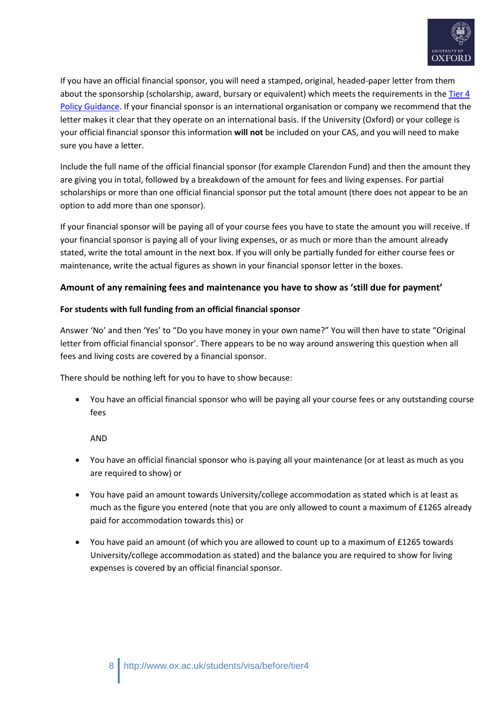

If you have an official financial sponsor, you will need a stamped, original, headed-paper letter from them about the sponsorship (scholarship, award, bursary or equivalent) which meets the requirements in th[e Tier 4](https://www.gov.uk/government/publications/guidance-on-application-for-uk-visa-as-tier-4-student)  [Policy Guidance.](https://www.gov.uk/government/publications/guidance-on-application-for-uk-visa-as-tier-4-student) If your financial sponsor is an international organisation or company we recommend that the letter makes it clear that they operate on an international basis. If the University (Oxford) or your college is your official financial sponsor this information **will not** be included on your CAS, and you will need to make sure you have a letter.

Include the full name of the official financial sponsor (for example Clarendon Fund) and then the amount they are giving you in total, followed by a breakdown of the amount for fees and living expenses. For partial scholarships or more than one official financial sponsor put the total amount (there does not appear to be an option to add more than one sponsor).

If your financial sponsor will be paying all of your course fees you have to state the amount you will receive. If your financial sponsor is paying all of your living expenses, or as much or more than the amount already stated, write the total amount in the next box. If you will only be partially funded for either course fees or maintenance, write the actual figures as shown in your financial sponsor letter in the boxes.

#### **Amount of any remaining fees and maintenance you have to show as 'still due for payment'**

#### **For students with full funding from an official financial sponsor**

Answer 'No' and then 'Yes' to "Do you have money in your own name?" You will then have to state "Original letter from official financial sponsor'. There appears to be no way around answering this question when all fees and living costs are covered by a financial sponsor.

There should be nothing left for you to have to show because:

 You have an official financial sponsor who will be paying all your course fees or any outstanding course fees

AND

- You have an official financial sponsor who is paying all your maintenance (or at least as much as you are required to show) or
- You have paid an amount towards University/college accommodation as stated which is at least as much as the figure you entered (note that you are only allowed to count a maximum of £1265 already paid for accommodation towards this) or
- You have paid an amount (of which you are allowed to count up to a maximum of £1265 towards University/college accommodation as stated) and the balance you are required to show for living expenses is covered by an official financial sponsor.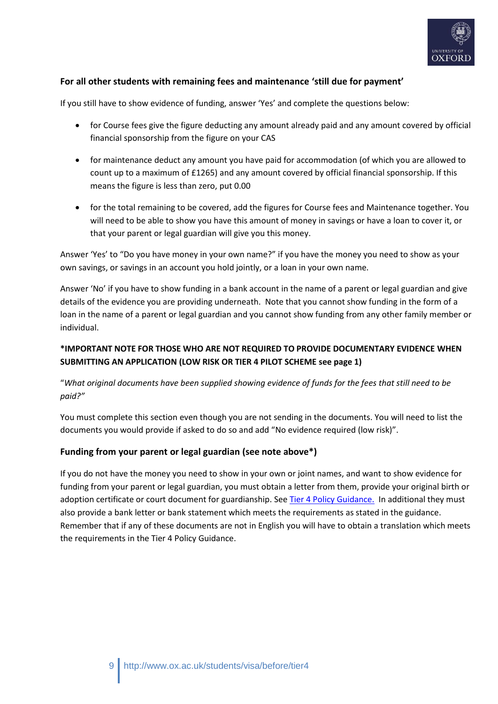

## **For all other students with remaining fees and maintenance 'still due for payment'**

If you still have to show evidence of funding, answer 'Yes' and complete the questions below:

- for Course fees give the figure deducting any amount already paid and any amount covered by official financial sponsorship from the figure on your CAS
- for maintenance deduct any amount you have paid for accommodation (of which you are allowed to count up to a maximum of £1265) and any amount covered by official financial sponsorship. If this means the figure is less than zero, put 0.00
- for the total remaining to be covered, add the figures for Course fees and Maintenance together. You will need to be able to show you have this amount of money in savings or have a loan to cover it, or that your parent or legal guardian will give you this money.

Answer 'Yes' to "Do you have money in your own name?" if you have the money you need to show as your own savings, or savings in an account you hold jointly, or a loan in your own name.

Answer 'No' if you have to show funding in a bank account in the name of a parent or legal guardian and give details of the evidence you are providing underneath. Note that you cannot show funding in the form of a loan in the name of a parent or legal guardian and you cannot show funding from any other family member or individual.

# **\*IMPORTANT NOTE FOR THOSE WHO ARE NOT REQUIRED TO PROVIDE DOCUMENTARY EVIDENCE WHEN SUBMITTING AN APPLICATION (LOW RISK OR TIER 4 PILOT SCHEME see page 1)**

## "*What original documents have been supplied showing evidence of funds for the fees that still need to be paid?"*

You must complete this section even though you are not sending in the documents. You will need to list the documents you would provide if asked to do so and add "No evidence required (low risk)".

## **Funding from your parent or legal guardian (see note above\*)**

If you do not have the money you need to show in your own or joint names, and want to show evidence for funding from your parent or legal guardian, you must obtain a letter from them, provide your original birth or adoption certificate or court document for guardianship. See [Tier 4 Policy Guidance.](https://www.gov.uk/government/publications/guidance-on-application-for-uk-visa-as-tier-4-student) In additional they must also provide a bank letter or bank statement which meets the requirements as stated in the guidance. Remember that if any of these documents are not in English you will have to obtain a translation which meets the requirements in the Tier 4 Policy Guidance.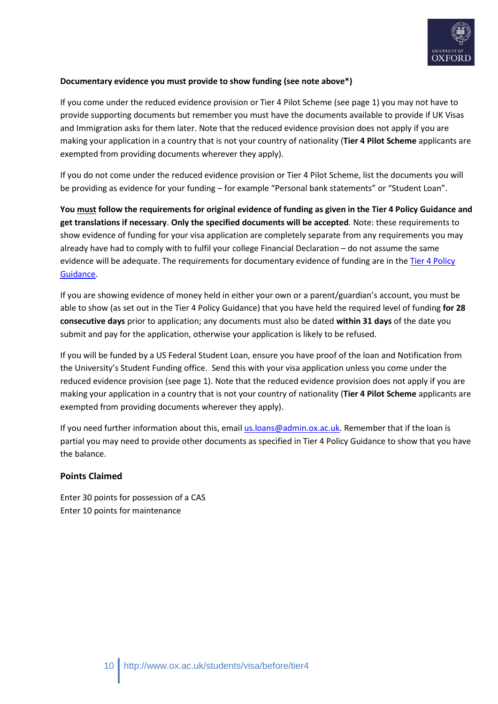

### **Documentary evidence you must provide to show funding (see note above\*)**

If you come under the reduced evidence provision or Tier 4 Pilot Scheme (see page 1) you may not have to provide supporting documents but remember you must have the documents available to provide if UK Visas and Immigration asks for them later. Note that the reduced evidence provision does not apply if you are making your application in a country that is not your country of nationality (**Tier 4 Pilot Scheme** applicants are exempted from providing documents wherever they apply).

If you do not come under the reduced evidence provision or Tier 4 Pilot Scheme, list the documents you will be providing as evidence for your funding – for example "Personal bank statements" or "Student Loan".

**You must follow the requirements for original evidence of funding as given in the Tier 4 Policy Guidance and get translations if necessary**. **Only the specified documents will be accepted**. Note: these requirements to show evidence of funding for your visa application are completely separate from any requirements you may already have had to comply with to fulfil your college Financial Declaration – do not assume the same evidence will be adequate. The requirements for documentary evidence of funding are in the [Tier 4 Policy](https://www.gov.uk/government/publications/guidance-on-application-for-uk-visa-as-tier-4-student)  [Guidance.](https://www.gov.uk/government/publications/guidance-on-application-for-uk-visa-as-tier-4-student)

If you are showing evidence of money held in either your own or a parent/guardian's account, you must be able to show (as set out in the Tier 4 Policy Guidance) that you have held the required level of funding **for 28 consecutive days** prior to application; any documents must also be dated **within 31 days** of the date you submit and pay for the application, otherwise your application is likely to be refused.

If you will be funded by a US Federal Student Loan, ensure you have proof of the loan and Notification from the University's Student Funding office. Send this with your visa application unless you come under the reduced evidence provision (see page 1). Note that the reduced evidence provision does not apply if you are making your application in a country that is not your country of nationality (**Tier 4 Pilot Scheme** applicants are exempted from providing documents wherever they apply).

If you need further information about this, email [us.loans@admin.ox.ac.uk.](mailto:us.loans@admin.ox.ac.uk) Remember that if the loan is partial you may need to provide other documents as specified in Tier 4 Policy Guidance to show that you have the balance.

## **Points Claimed**

Enter 30 points for possession of a CAS Enter 10 points for maintenance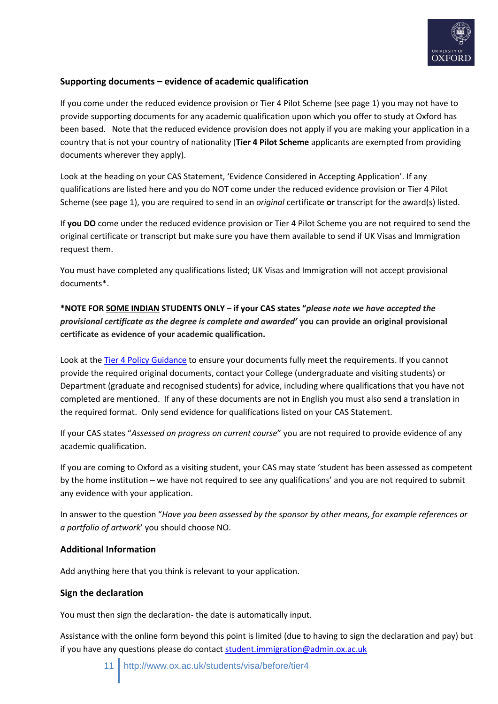

## **Supporting documents – evidence of academic qualification**

If you come under the reduced evidence provision or Tier 4 Pilot Scheme (see page 1) you may not have to provide supporting documents for any academic qualification upon which you offer to study at Oxford has been based. Note that the reduced evidence provision does not apply if you are making your application in a country that is not your country of nationality (**Tier 4 Pilot Scheme** applicants are exempted from providing documents wherever they apply).

Look at the heading on your CAS Statement, 'Evidence Considered in Accepting Application'. If any qualifications are listed here and you do NOT come under the reduced evidence provision or Tier 4 Pilot Scheme (see page 1), you are required to send in an *original* certificate **or** transcript for the award(s) listed.

If **you DO** come under the reduced evidence provision or Tier 4 Pilot Scheme you are not required to send the original certificate or transcript but make sure you have them available to send if UK Visas and Immigration request them.

You must have completed any qualifications listed; UK Visas and Immigration will not accept provisional documents\*.

**\*NOTE FOR SOME INDIAN STUDENTS ONLY** – **if your CAS states "***please note we have accepted the provisional certificate as the degree is complete and awarded'* **you can provide an original provisional certificate as evidence of your academic qualification.**

Look at th[e Tier 4 Policy Guidance](https://www.gov.uk/government/publications/guidance-on-application-for-uk-visa-as-tier-4-student) to ensure your documents fully meet the requirements. If you cannot provide the required original documents, contact your College (undergraduate and visiting students) or Department (graduate and recognised students) for advice, including where qualifications that you have not completed are mentioned. If any of these documents are not in English you must also send a translation in the required format. Only send evidence for qualifications listed on your CAS Statement.

If your CAS states "*Assessed on progress on current course*" you are not required to provide evidence of any academic qualification.

If you are coming to Oxford as a visiting student, your CAS may state 'student has been assessed as competent by the home institution – we have not required to see any qualifications' and you are not required to submit any evidence with your application.

In answer to the question "*Have you been assessed by the sponsor by other means, for example references or a portfolio of artwork*' you should choose NO.

#### **Additional Information**

Add anything here that you think is relevant to your application.

#### **Sign the declaration**

You must then sign the declaration- the date is automatically input.

Assistance with the online form beyond this point is limited (due to having to sign the declaration and pay) but if you have any questions please do contact [student.immigration@admin.ox.ac.uk](mailto:student.immigration@admin.ox.ac.uk)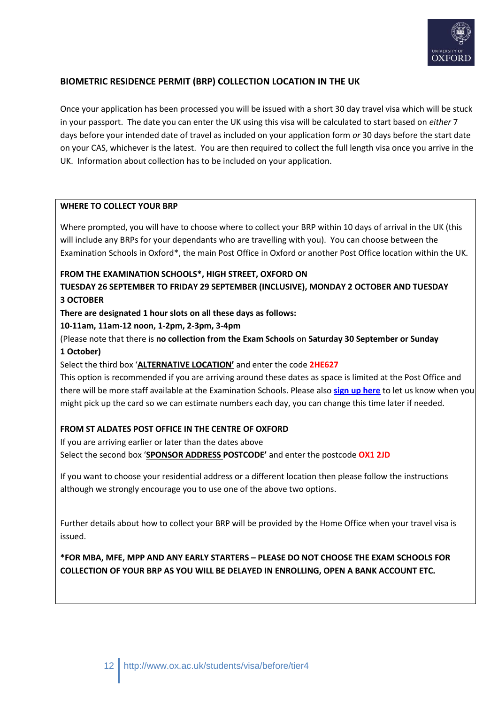

## **BIOMETRIC RESIDENCE PERMIT (BRP) COLLECTION LOCATION IN THE UK**

Once your application has been processed you will be issued with a short 30 day travel visa which will be stuck in your passport. The date you can enter the UK using this visa will be calculated to start based on *either* 7 days before your intended date of travel as included on your application form *or* 30 days before the start date on your CAS, whichever is the latest. You are then required to collect the full length visa once you arrive in the UK.Information about collection has to be included on your application.

## **WHERE TO COLLECT YOUR BRP**

Where prompted, you will have to choose where to collect your BRP within 10 days of arrival in the UK (this will include any BRPs for your dependants who are travelling with you). You can choose between the Examination Schools in Oxford\*, the main Post Office in Oxford or another Post Office location within the UK.

#### **FROM THE EXAMINATION SCHOOLS\*, HIGH STREET, OXFORD ON**

**TUESDAY 26 SEPTEMBER TO FRIDAY 29 SEPTEMBER (INCLUSIVE), MONDAY 2 OCTOBER AND TUESDAY 3 OCTOBER**

**There are designated 1 hour slots on all these days as follows:**

#### **10-11am, 11am-12 noon, 1-2pm, 2-3pm, 3-4pm**

(Please note that there is **no collection from the Exam Schools** on **Saturday 30 September or Sunday 1 October)**

Select the third box '**ALTERNATIVE LOCATION'** and enter the code **2HE627**

This option is recommended if you are arriving around these dates as space is limited at the Post Office and there will be more staff available at the Examination Schools. Please also **[sign up here](https://www.eventbrite.co.uk/e/collection-of-brp-card-student-visa-at-exam-schools-for-new-students-2017-tickets-34406672283)** to let us know when you might pick up the card so we can estimate numbers each day, you can change this time later if needed.

#### **FROM ST ALDATES POST OFFICE IN THE CENTRE OF OXFORD**

If you are arriving earlier or later than the dates above Select the second box '**SPONSOR ADDRESS POSTCODE'** and enter the postcode **OX1 2JD**

If you want to choose your residential address or a different location then please follow the instructions although we strongly encourage you to use one of the above two options.

Further details about how to collect your BRP will be provided by the Home Office when your travel visa is issued.

**\*FOR MBA, MFE, MPP AND ANY EARLY STARTERS – PLEASE DO NOT CHOOSE THE EXAM SCHOOLS FOR COLLECTION OF YOUR BRP AS YOU WILL BE DELAYED IN ENROLLING, OPEN A BANK ACCOUNT ETC.**